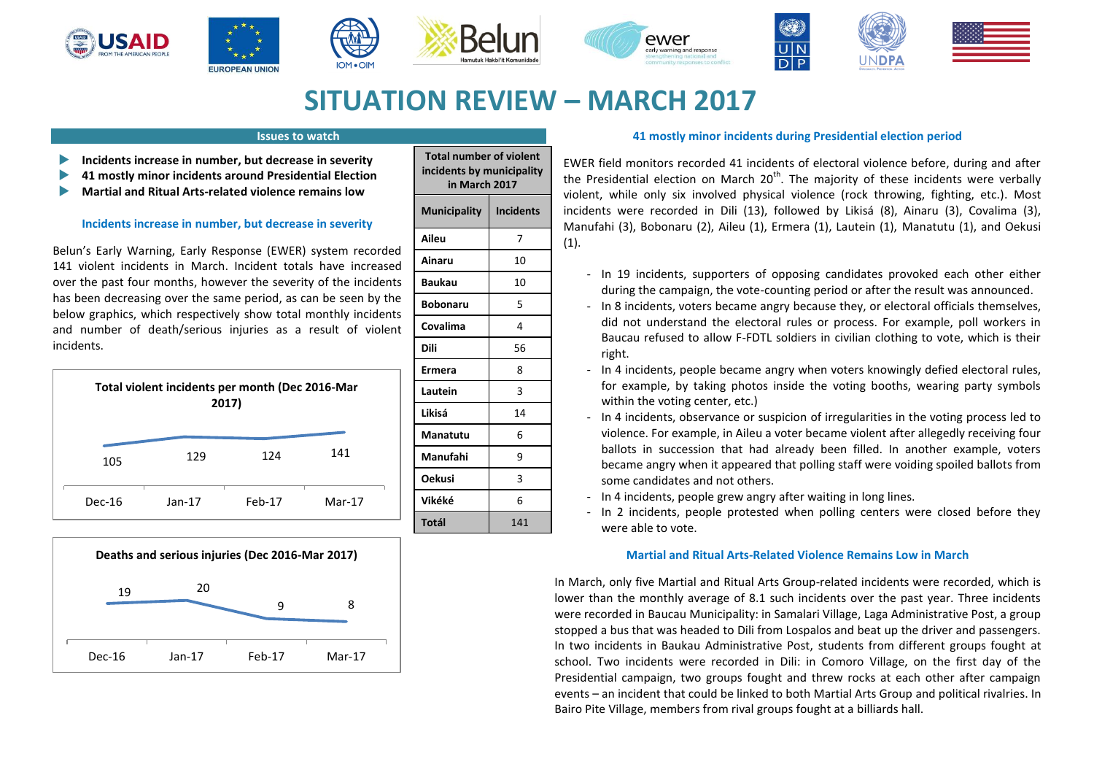











# **SITUATION REVIEW – MARCH 2017**

# **Issues to watch**

- **Incidents increase in number, but decrease in severity**
- **41 mostly minor incidents around Presidential Election**
- **Martial and Ritual Arts-related violence remains low**

## **Incidents increase in number, but decrease in severity**

Belun's Early Warning, Early Response (EWER) system recorded 141 violent incidents in March. Incident totals have increased over the past four months, however the severity of the incidents has been decreasing over the same period, as can be seen by the below graphics, which respectively show total monthly incidents and number of death/serious injuries as a result of violent incidents.





| <b>Total number of violent</b><br>incidents by municipality<br>in March 2017 |                  |
|------------------------------------------------------------------------------|------------------|
| <b>Municipality</b>                                                          | <b>Incidents</b> |
| Aileu                                                                        | 7                |
| Ainaru                                                                       | 10               |
| <b>Baukau</b>                                                                | 10               |
| <b>Bobonaru</b>                                                              | 5                |
| Covalima                                                                     | 4                |
| Dili                                                                         | 56               |
| Ermera                                                                       | 8                |
| Lautein                                                                      | 3                |
| Likisá                                                                       | 14               |
| Manatutu                                                                     | 6                |
| Manufahi                                                                     | 9                |
| <b>Oekusi</b>                                                                | 3                |
| Vikéké                                                                       | 6                |
| Totál                                                                        | 141              |

## **41 mostly minor incidents during Presidential election period**

EWER field monitors recorded 41 incidents of electoral violence before, during and after the Presidential election on March  $20<sup>th</sup>$ . The majority of these incidents were verbally violent, while only six involved physical violence (rock throwing, fighting, etc.). Most incidents were recorded in Dili (13), followed by Likisá (8), Ainaru (3), Covalima (3), Manufahi (3), Bobonaru (2), Aileu (1), Ermera (1), Lautein (1), Manatutu (1), and Oekusi (1).

- In 19 incidents, supporters of opposing candidates provoked each other either during the campaign, the vote-counting period or after the result was announced.
- In 8 incidents, voters became angry because they, or electoral officials themselves, did not understand the electoral rules or process. For example, poll workers in Baucau refused to allow F-FDTL soldiers in civilian clothing to vote, which is their right.
- In 4 incidents, people became angry when voters knowingly defied electoral rules, for example, by taking photos inside the voting booths, wearing party symbols within the voting center, etc.)
- In 4 incidents, observance or suspicion of irregularities in the voting process led to violence. For example, in Aileu a voter became violent after allegedly receiving four ballots in succession that had already been filled. In another example, voters became angry when it appeared that polling staff were voiding spoiled ballots from some candidates and not others.
- In 4 incidents, people grew angry after waiting in long lines.
- In 2 incidents, people protested when polling centers were closed before they were able to vote.

## **Martial and Ritual Arts-Related Violence Remains Low in March**

In March, only five Martial and Ritual Arts Group-related incidents were recorded, which is lower than the monthly average of 8.1 such incidents over the past year. Three incidents were recorded in Baucau Municipality: in Samalari Village, Laga Administrative Post, a group stopped a bus that was headed to Dili from Lospalos and beat up the driver and passengers. In two incidents in Baukau Administrative Post, students from different groups fought at school. Two incidents were recorded in Dili: in Comoro Village, on the first day of the Presidential campaign, two groups fought and threw rocks at each other after campaign events – an incident that could be linked to both Martial Arts Group and political rivalries. In Bairo Pite Village, members from rival groups fought at a billiards hall.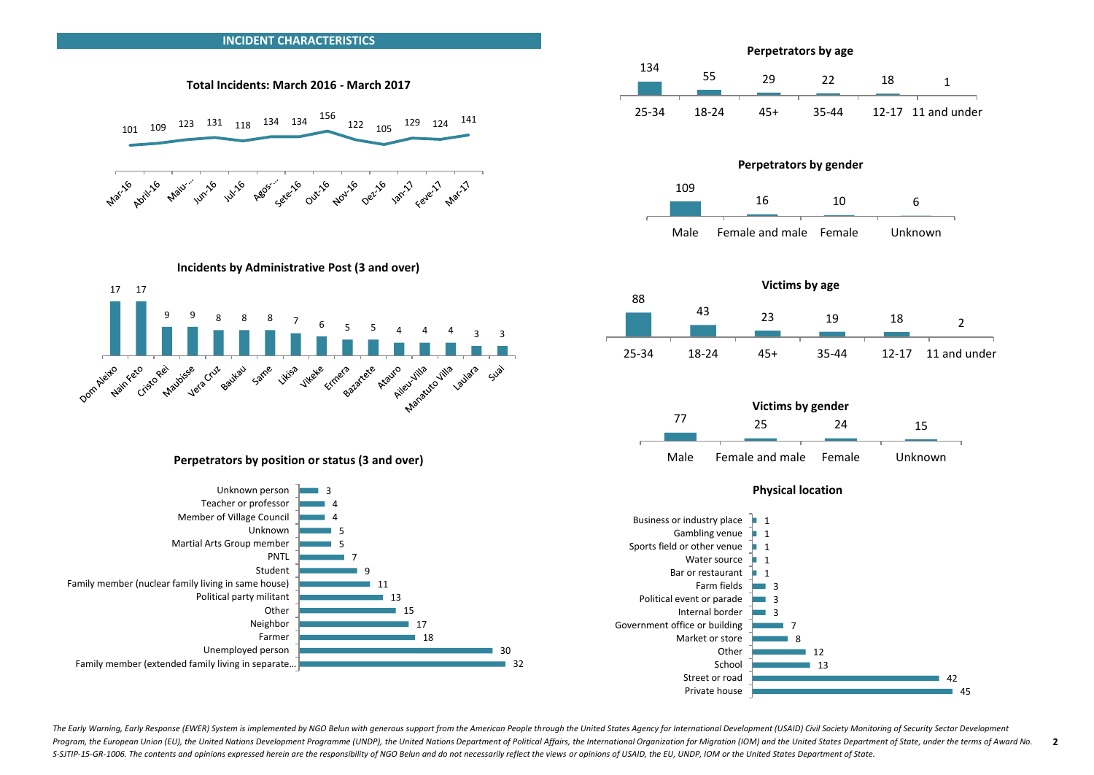

The Early Warning, Early Response (EWER) System is implemented by NGO Belun with generous support from the American People through the United States Agency for International Development (USAID) Civil Society Monitoring of Program, the European Union (EU), the United Nations Development Programme (UNDP), the United Nations Department of Political Affairs, the International Organization for Migration (IOM) and the United States Department of S-SJTIP-15-GR-1006. The contents and opinions expressed herein are the responsibility of NGO Belun and do not necessarily reflect the views or opinions of USAID, the EU, UNDP, IOM or the United States Department of State. **2**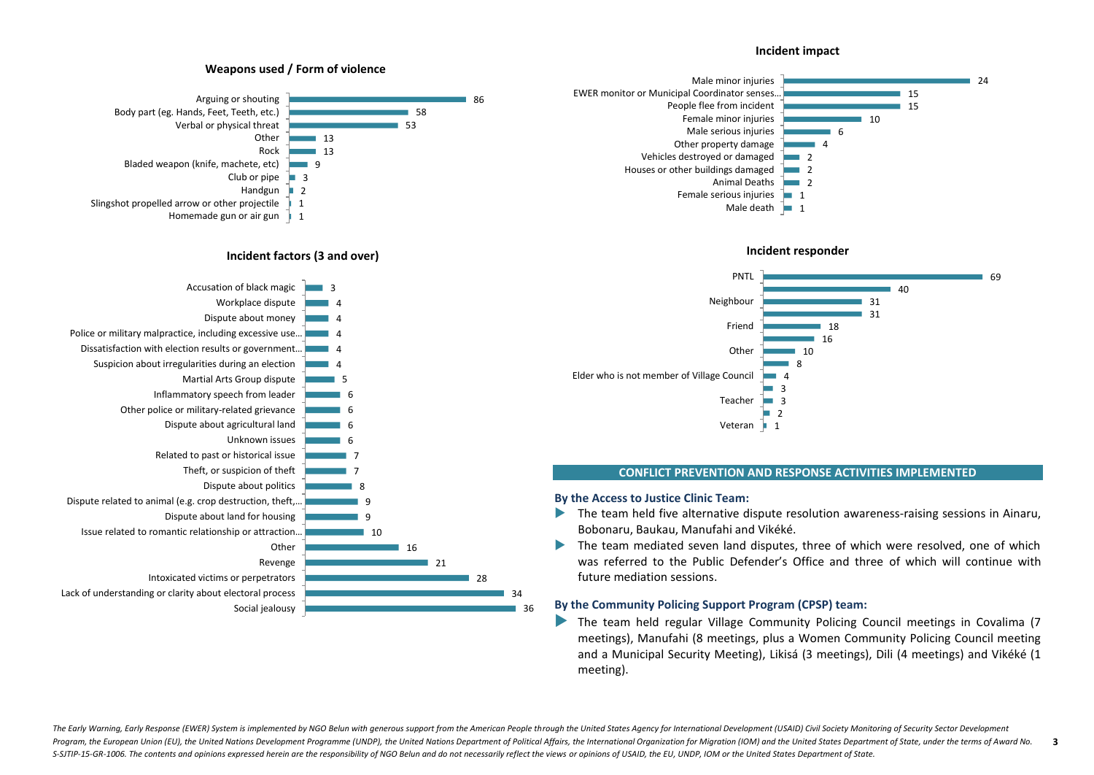#### **Incident impact**







#### **CONFLICT PREVENTION AND RESPONSE ACTIVITIES IMPLEMENTED**

#### **By the Access to Justice Clinic Team:**

- The team held five alternative dispute resolution awareness-raising sessions in Ainaru, Bobonaru, Baukau, Manufahi and Vikéké.
- The team mediated seven land disputes, three of which were resolved, one of which was referred to the Public Defender's Office and three of which will continue with future mediation sessions.

#### **By the Community Policing Support Program (CPSP) team:**

 The team held regular Village Community Policing Council meetings in Covalima (7 meetings), Manufahi (8 meetings, plus a Women Community Policing Council meeting and a Municipal Security Meeting), Likisá (3 meetings), Dili (4 meetings) and Vikéké (1 meeting).

# **Weapons used / Form of violence**



#### **Incident factors (3 and over)**



The Early Warning, Early Response (EWER) System is implemented by NGO Belun with generous support from the American People through the United States Agency for International Development (USAID) Civil Society Monitoring of Program, the European Union (EU), the United Nations Development Programme (UNDP), the United Nations Department of Political Affairs, the International Organization for Migration (IOM) and the United States Department of S-SJTIP-15-GR-1006. The contents and opinions expressed herein are the responsibility of NGO Belun and do not necessarily reflect the views or opinions of USAID, the EU, UNDP, IOM or the United States Department of State. **3**

36 34